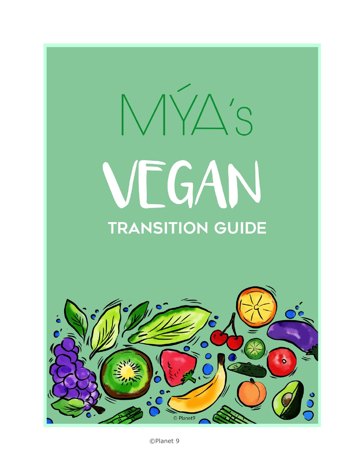# $N/\Delta's$ VEGAN **TRANSITION GUIDE**

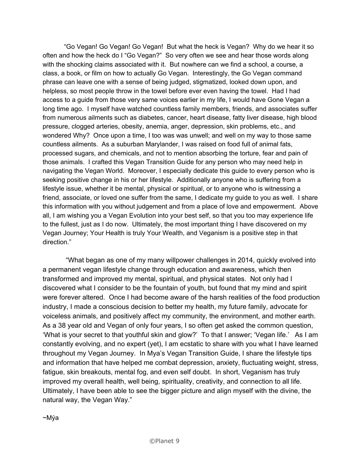"Go Vegan! Go Vegan! Go Vegan! But what the heck is Vegan? Why do we hear it so often and how the heck do I "Go Vegan?" So very often we see and hear those words along with the shocking claims associated with it. But nowhere can we find a school, a course, a class, a book, or film on how to actually Go Vegan. Interestingly, the Go Vegan command phrase can leave one with a sense of being judged, stigmatized, looked down upon, and helpless, so most people throw in the towel before ever even having the towel. Had I had access to a guide from those very same voices earlier in my life, I would have Gone Vegan a long time ago. I myself have watched countless family members, friends, and associates suffer from numerous ailments such as diabetes, cancer, heart disease, fatty liver disease, high blood pressure, clogged arteries, obesity, anemia, anger, depression, skin problems, etc., and wondered Why? Once upon a time, I too was was unwell; and well on my way to those same countless ailments. As a suburban Marylander, I was raised on food full of animal fats, processed sugars, and chemicals, and not to mention absorbing the torture, fear and pain of those animals. I crafted this Vegan Transition Guide for any person who may need help in navigating the Vegan World. Moreover, I especially dedicate this guide to every person who is seeking positive change in his or her lifestyle. Additionally anyone who is suffering from a lifestyle issue, whether it be mental, physical or spiritual, or to anyone who is witnessing a friend, associate, or loved one suffer from the same, I dedicate my guide to you as well. I share this information with you without judgement and from a place of love and empowerment. Above all, I am wishing you a Vegan Evolution into your best self, so that you too may experience life to the fullest, just as I do now. Ultimately, the most important thing I have discovered on my Vegan Journey; Your Health is truly Your Wealth, and Veganism is a positive step in that direction."

"What began as one of my many willpower challenges in 2014, quickly evolved into a permanent vegan lifestyle change through education and awareness, which then transformed and improved my mental, spiritual, and physical states. Not only had I discovered what I consider to be the fountain of youth, but found that my mind and spirit were forever altered. Once I had become aware of the harsh realities of the food production industry, I made a conscious decision to better my health, my future family, advocate for voiceless animals, and positively affect my community, the environment, and mother earth. As a 38 year old and Vegan of only four years, I so often get asked the common question, 'What is your secret to that youthful skin and glow?' To that I answer; 'Vegan life.' As I am constantly evolving, and no expert (yet), I am ecstatic to share with you what I have learned throughout my Vegan Journey. In Mya's Vegan Transition Guide, I share the lifestyle tips and information that have helped me combat depression, anxiety, fluctuating weight, stress, fatigue, skin breakouts, mental fog, and even self doubt. In short, Veganism has truly improved my overall health, well being, spirituality, creativity, and connection to all life. Ultimately, I have been able to see the bigger picture and align myself with the divine, the natural way, the Vegan Way."

~Mýa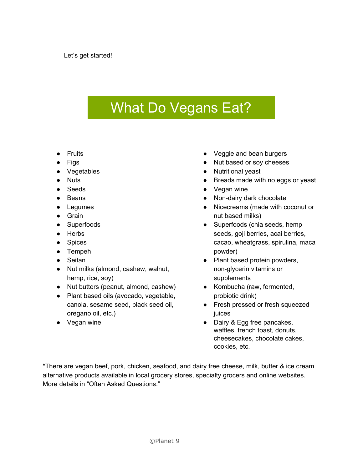## What Do Vegans Eat?

- Fruits
- **Figs**
- Vegetables
- Nuts
- Seeds
- Beans
- Legumes
- Grain
- Superfoods
- Herbs
- Spices
- Tempeh
- Seitan
- Nut milks (almond, cashew, walnut, hemp, rice, soy)
- Nut butters (peanut, almond, cashew)
- Plant based oils (avocado, vegetable, canola, sesame seed, black seed oil, oregano oil, etc.)
- Vegan wine
- Veggie and bean burgers
- Nut based or soy cheeses
- Nutritional yeast
- Breads made with no eggs or yeast
- Vegan wine
- Non-dairy dark chocolate
- Nicecreams (made with coconut or nut based milks)
- Superfoods (chia seeds, hemp seeds, goji berries, acai berries, cacao, wheatgrass, spirulina, maca powder)
- Plant based protein powders, non-glycerin vitamins or supplements
- Kombucha (raw, fermented, probiotic drink)
- Fresh pressed or fresh squeezed juices
- Dairy & Egg free pancakes, waffles, french toast, donuts, cheesecakes, chocolate cakes, cookies, etc.

\*There are vegan beef, pork, chicken, seafood, and dairy free cheese, milk, butter & ice cream alternative products available in local grocery stores, specialty grocers and online websites. More details in "Often Asked Questions."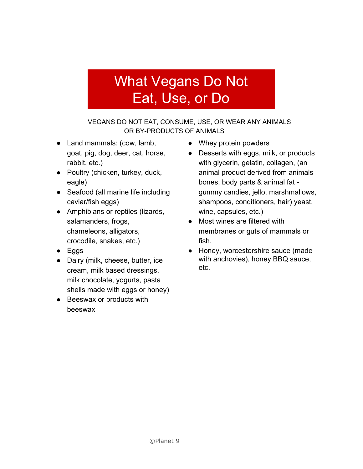## What Vegans Do Not Eat, Use, or Do

VEGANS DO NOT EAT, CONSUME, USE, OR WEAR ANY ANIMALS OR BY-PRODUCTS OF ANIMALS

- Land mammals: (cow, lamb, goat, pig, dog, deer, cat, horse, rabbit, etc.)
- Poultry (chicken, turkey, duck, eagle)
- Seafood (all marine life including caviar/fish eggs)
- Amphibians or reptiles (lizards, salamanders, frogs, chameleons, alligators, crocodile, snakes, etc.)
- Eggs
- Dairy (milk, cheese, butter, ice cream, milk based dressings, milk chocolate, yogurts, pasta shells made with eggs or honey)
- Beeswax or products with beeswa[x](https://docs.google.com/document/d/147l-NJsA2wXZ8u8bIvaqB3uIm-VGECyXE2WhN20urVs/edit?usp=sharing)
- Whey protein powders
- Desserts with eggs, milk, or products with glycerin, gelatin, collagen, (an animal product derived from animals bones, body parts & animal fat gummy candies, jello, marshmallows, shampoos, conditioners, hair) yeast, wine, capsules, etc.)
- Most wines are filtered with membranes or guts of mammals or fish.
- Honey, worcestershire sauce (made with anchovies), honey BBQ sauce, etc.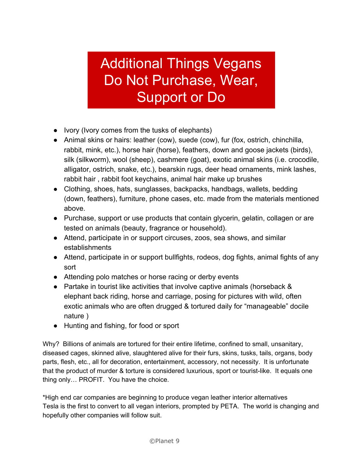## Additional Things Vegans Do Not Purchase, Wear, Support or Do

- Ivory (Ivory comes from the tusks of elephants)
- Animal skins or hairs: leather (cow), suede (cow), fur (fox, ostrich, chinchilla, rabbit, mink, etc.), horse hair (horse), feathers, down and goose jackets (birds), silk (silkworm), wool (sheep), cashmere (goat), exotic animal skins (i.e. crocodile, alligator, ostrich, snake, etc.), bearskin rugs, deer head ornaments, mink lashes, rabbit hair , rabbit foot keychains, animal hair make up brushes
- Clothing, shoes, hats, sunglasses, backpacks, handbags, wallets, bedding (down, feathers), furniture, phone cases, etc. made from the materials mentioned above.
- Purchase, support or use products that contain glycerin, gelatin, collagen or are tested on animals (beauty, fragrance or household).
- Attend, participate in or support circuses, zoos, sea shows, and similar establishments
- Attend, participate in or support bullfights, rodeos, dog fights, animal fights of any sort
- Attending polo matches or horse racing or derby events
- Partake in tourist like activities that involve captive animals (horseback & elephant back riding, horse and carriage, posing for pictures with wild, often exotic animals who are often drugged & tortured daily for "manageable" docile nature )
- Hunting and fishing, for food or sport

Why? Billions of animals are tortured for their entire lifetime, confined to small, unsanitary, diseased cages, skinned alive, slaughtered alive for their furs, skins, tusks, tails, organs, body parts, flesh, etc., all for decoration, entertainment, accessory, not necessity. It is unfortunate that the product of murder & torture is considered luxurious, sport or tourist-like. It equals one thing only… PROFIT. You have the choice.

\*High end car companies are beginning to produce vegan leather interior alternatives Tesla is the first to convert to all vegan interiors, prompted by PETA. The world is changing and hopefully other companies will follow suit.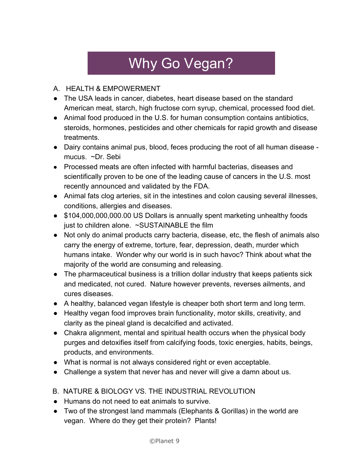# Why Go Vegan?

#### A. HEALTH & EMPOWERMENT

- The USA leads in cancer, diabetes, heart disease based on the standard American meat, starch, high fructose corn syrup, chemical, processed food diet.
- Animal food produced in the U.S. for human consumption contains antibiotics, steroids, hormones, pesticides and other chemicals for rapid growth and disease treatments.
- Dairy contains animal pus, blood, feces producing the root of all human disease mucus. ~Dr. Sebi
- Processed meats are often infected with harmful bacterias, diseases and scientifically proven to be one of the leading cause of cancers in the U.S. most recently announced and validated by the FDA.
- Animal fats clog arteries, sit in the intestines and colon causing several illnesses, conditions, allergies and diseases.
- \$104,000,000,000.00 US Dollars is annually spent marketing unhealthy foods just to children alone. ~SUSTAINABLE the film
- Not only do animal products carry bacteria, disease, etc, the flesh of animals also carry the energy of extreme, torture, fear, depression, death, murder which humans intake. Wonder why our world is in such havoc? Think about what the majority of the world are consuming and releasing.
- The pharmaceutical business is a trillion dollar industry that keeps patients sick and medicated, not cured. Nature however prevents, reverses ailments, and cures diseases.
- A healthy, balanced vegan lifestyle is cheaper both short term and long term.
- Healthy vegan food improves brain functionality, motor skills, creativity, and clarity as the pineal gland is decalcified and activated.
- Chakra alignment, mental and spiritual health occurs when the physical body purges and detoxifies itself from calcifying foods, toxic energies, habits, beings, products, and environments.
- What is normal is not always considered right or even acceptable.
- Challenge a system that never has and never will give a damn about us.
- B. NATURE & BIOLOGY VS. THE INDUSTRIAL REVOLUTION
- Humans do not need to eat animals to survive.
- Two of the strongest land mammals (Elephants & Gorillas) in the world are vegan. Where do they get their protein? Plants!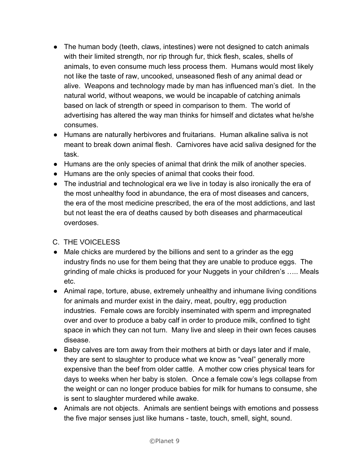- The human body (teeth, claws, intestines) were not designed to catch animals with their limited strength, nor rip through fur, thick flesh, scales, shells of animals, to even consume much less process them. Humans would most likely not like the taste of raw, uncooked, unseasoned flesh of any animal dead or alive. Weapons and technology made by man has influenced man's diet. In the natural world, without weapons, we would be incapable of catching animals based on lack of strength or speed in comparison to them. The world of advertising has altered the way man thinks for himself and dictates what he/she consumes.
- Humans are naturally herbivores and fruitarians. Human alkaline saliva is not meant to break down animal flesh. Carnivores have acid saliva designed for the task.
- Humans are the only species of animal that drink the milk of another species.
- Humans are the only species of animal that cooks their food.
- The industrial and technological era we live in today is also ironically the era of the most unhealthy food in abundance, the era of most diseases and cancers, the era of the most medicine prescribed, the era of the most addictions, and last but not least the era of deaths caused by both diseases and pharmaceutical overdoses.

#### C. THE VOICELESS

- Male chicks are murdered by the billions and sent to a grinder as the egg industry finds no use for them being that they are unable to produce eggs. The grinding of male chicks is produced for your Nuggets in your children's ….. Meals etc.
- Animal rape, torture, abuse, extremely unhealthy and inhumane living conditions for animals and murder exist in the dairy, meat, poultry, egg production industries. Female cows are forcibly inseminated with sperm and impregnated over and over to produce a baby calf in order to produce milk, confined to tight space in which they can not turn. Many live and sleep in their own feces causes disease.
- Baby calves are torn away from their mothers at birth or days later and if male, they are sent to slaughter to produce what we know as "veal" generally more expensive than the beef from older cattle. A mother cow cries physical tears for days to weeks when her baby is stolen. Once a female cow's legs collapse from the weight or can no longer produce babies for milk for humans to consume, she is sent to slaughter murdered while awake.
- Animals are not objects. Animals are sentient beings with emotions and possess the five major senses just like humans - taste, touch, smell, sight, sound.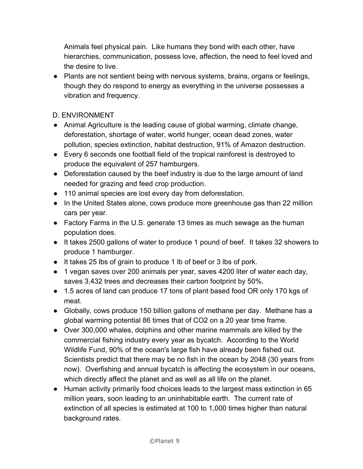Animals feel physical pain. Like humans they bond with each other, have hierarchies, communication, possess love, affection, the need to feel loved and the desire to live.

● Plants are not sentient being with nervous systems, brains, organs or feelings, though they do respond to energy as everything in the universe possesses a vibration and frequency.

D. ENVIRONMENT

- Animal Agriculture is the leading cause of global warming, climate change, deforestation, shortage of water, world hunger, ocean dead zones, water pollution, species extinction, habitat destruction, 91% of Amazon destruction.
- Every 6 seconds one football field of the tropical rainforest is destroyed to produce the equivalent of 257 hamburgers.
- Deforestation caused by the beef industry is due to the large amount of land needed for grazing and feed crop production.
- 110 animal species are lost every day from deforestation.
- In the United States alone, cows produce more greenhouse gas than 22 million cars per year.
- Factory Farms in the U.S. generate 13 times as much sewage as the human population does.
- It takes 2500 gallons of water to produce 1 pound of beef. It takes 32 showers to produce 1 hamburger.
- It takes 25 lbs of grain to produce 1 lb of beef or 3 lbs of pork.
- 1 vegan saves over 200 animals per year, saves 4200 liter of water each day, saves 3,432 trees and decreases their carbon footprint by 50%.
- 1.5 acres of land can produce 17 tons of plant based food OR only 170 kgs of meat.
- Globally, cows produce 150 billion gallons of methane per day. Methane has a global warming potential 86 times that of CO2 on a 20 year time frame.
- Over 300,000 whales, dolphins and other marine mammals are killed by the commercial fishing industry every year as bycatch. According to the World Wildlife Fund, 90% of the ocean's large fish have already been fished out. Scientists predict that there may be no fish in the ocean by 2048 (30 years from now). Overfishing and annual bycatch is affecting the ecosystem in our oceans, which directly affect the planet and as well as all life on the planet.
- Human activity primarily food choices leads to the largest mass extinction in 65 million years, soon leading to an uninhabitable earth. The current rate of extinction of all species is estimated at 100 to 1,000 times higher than natural background rates.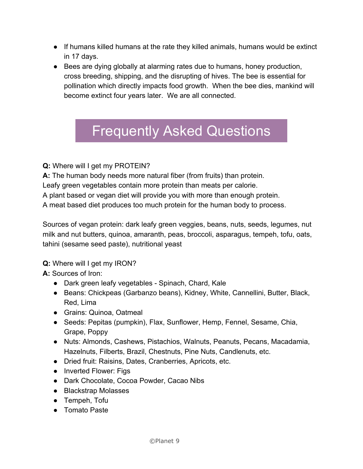- If humans killed humans at the rate they killed animals, humans would be extinct in 17 days.
- Bees are dying globally at alarming rates due to humans, honey production, cross breeding, shipping, and the disrupting of hives. The bee is essential for pollination which directly impacts food growth. When the bee dies, mankind will become extinct four years later. We are all connected.

## Frequently Asked Questions

**Q:** Where will I get my PROTEIN?

**A:** The human body needs more natural fiber (from fruits) than protein.

Leafy green vegetables contain more protein than meats per calorie.

A plant based or vegan diet will provide you with more than enough protein.

A meat based diet produces too much protein for the human body to process.

Sources of vegan protein: dark leafy green veggies, beans, nuts, seeds, legumes, nut milk and nut butters, quinoa, amaranth, peas, broccoli, asparagus, tempeh, tofu, oats, tahini (sesame seed paste), nutritional yeast

**Q:** Where will I get my IRON?

**A:** Sources of Iron:

- Dark green leafy vegetables Spinach, Chard, Kale
- Beans: Chickpeas (Garbanzo beans), Kidney, White, Cannellini, Butter, Black, Red, Lima
- Grains: Quinoa, Oatmeal
- Seeds: Pepitas (pumpkin), Flax, Sunflower, Hemp, Fennel, Sesame, Chia, Grape, Poppy
- Nuts: Almonds, Cashews, Pistachios, Walnuts, Peanuts, Pecans, Macadamia, Hazelnuts, Filberts, Brazil, Chestnuts, Pine Nuts, Candlenuts, etc.
- Dried fruit: Raisins, Dates, Cranberries, Apricots, etc.
- Inverted Flower: Figs
- Dark Chocolate, Cocoa Powder, Cacao Nibs
- Blackstrap Molasses
- Tempeh, Tofu
- Tomato Paste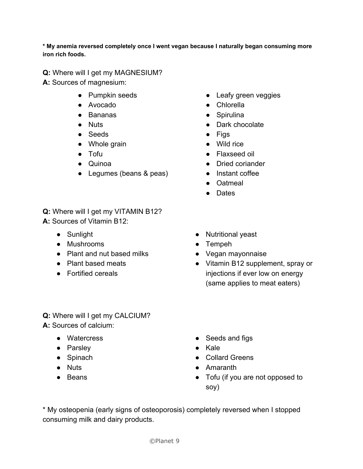**\* My anemia reversed completely once I went vegan because I naturally began consuming more iron rich foods.**

**Q:** Where will I get my MAGNESIUM?

**A:** Sources of magnesium:

- Pumpkin seeds
- Avocado
- Bananas
- Nuts
- Seeds
- Whole grain
- Tofu
- Quinoa
- Legumes (beans & peas)
- **Q:** Where will I get my VITAMIN B12? **A:** Sources of Vitamin B12:
	- Sunlight
	- Mushrooms
	- Plant and nut based milks
	- Plant based meats
	- Fortified cereals
- **Q:** Where will I get my CALCIUM? **A:** Sources of calcium:
	- Watercress
	- Parsley
	- Spinach
	- Nuts
	- Beans
- Leafy green veggies
- Chlorella
- Spirulina
- Dark chocolate
- Figs
- Wild rice
- Flaxseed oil
- Dried coriander
- Instant coffee
- Oatmeal
- Dates
- Nutritional yeast
- Tempeh
- Vegan mayonnaise
- Vitamin B12 supplement, spray or injections if ever low on energy (same applies to meat eaters)
- Seeds and figs
- Kale
- Collard Greens
- Amaranth
- Tofu (if you are not opposed to soy)

\* My osteopenia (early signs of osteoporosis) completely reversed when I stopped consuming milk and dairy products.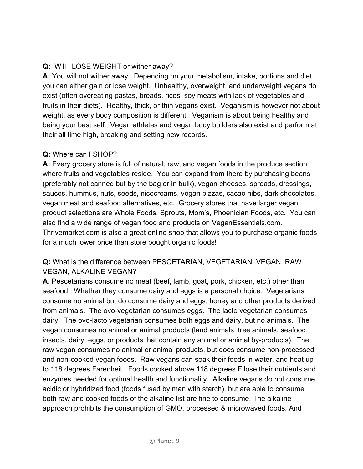#### **Q:**  Will I LOSE WEIGHT or wither away?

**A:** You will not wither away. Depending on your metabolism, intake, portions and diet, you can either gain or lose weight. Unhealthy, overweight, and underweight vegans do exist (often overeating pastas, breads, rices, soy meats with lack of vegetables and fruits in their diets). Healthy, thick, or thin vegans exist. Veganism is however not about weight, as every body composition is different. Veganism is about being healthy and being your best self. Vegan athletes and vegan body builders also exist and perform at their all time high, breaking and setting new records.

#### **Q:** Where can I SHOP?

**A:** Every grocery store is full of natural, raw, and vegan foods in the produce section where fruits and vegetables reside. You can expand from there by purchasing beans (preferably not canned but by the bag or in bulk), vegan cheeses, spreads, dressings, sauces, hummus, nuts, seeds, nicecreams, vegan pizzas, cacao nibs, dark chocolates, vegan meat and seafood alternatives, etc. Grocery stores that have larger vegan product selections are Whole Foods, Sprouts, Mom's, Phoenician Foods, etc. You can also find a wide range of vegan food and products on VeganEssentials.com. Thrivemarket.com is also a great online shop that allows you to purchase organic foods for a much lower price than store bought organic foods!

#### **Q:** What is the difference between PESCETARIAN, VEGETARIAN, VEGAN, RAW VEGAN, ALKALINE VEGAN?

**A.** Pescetarians consume no meat (beef, lamb, goat, pork, chicken, etc.) other than seafood. Whether they consume dairy and eggs is a personal choice. Vegetarians consume no animal but do consume dairy and eggs, honey and other products derived from animals. The ovo-vegetarian consumes eggs. The lacto vegetarian consumes dairy. The ovo-lacto vegetarian consumes both eggs and dairy, but no animals. The vegan consumes no animal or animal products (land animals, tree animals, seafood, insects, dairy, eggs, or products that contain any animal or animal by-products). The raw vegan consumes no animal or animal products, but does consume non-processed and non-cooked vegan foods. Raw vegans can soak their foods in water, and heat up to 118 degrees Farenheit. Foods cooked above 118 degrees F lose their nutrients and enzymes needed for optimal health and functionality. Alkaline vegans do not consume acidic or hybridized food (foods fused by man with starch), but are able to consume both raw and cooked foods of the alkaline list are fine to consume. The alkaline approach prohibits the consumption of GMO, processed & microwaved foods. And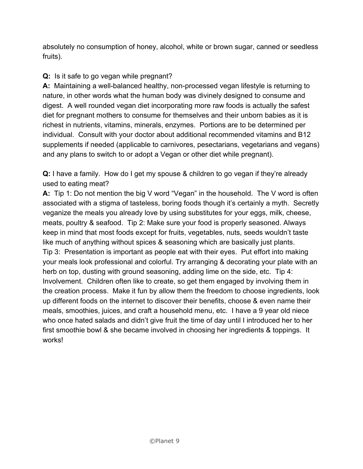absolutely no consumption of honey, alcohol, white or brown sugar, canned or seedless fruits).

#### **Q:** Is it safe to go vegan while pregnant?

**A:**  Maintaining a well-balanced healthy, non-processed vegan lifestyle is returning to nature, in other words what the human body was divinely designed to consume and digest. A well rounded vegan diet incorporating more raw foods is actually the safest diet for pregnant mothers to consume for themselves and their unborn babies as it is richest in nutrients, vitamins, minerals, enzymes. Portions are to be determined per individual. Consult with your doctor about additional recommended vitamins and B12 supplements if needed (applicable to carnivores, pesectarians, vegetarians and vegans) and any plans to switch to or adopt a Vegan or other diet while pregnant).

**Q:** I have a family. How do I get my spouse & children to go vegan if they're already used to eating meat?

**A:** Tip 1: Do not mention the big V word "Vegan" in the household. The V word is often associated with a stigma of tasteless, boring foods though it's certainly a myth. Secretly veganize the meals you already love by using substitutes for your eggs, milk, cheese, meats, poultry & seafood. Tip 2: Make sure your food is properly seasoned. Always keep in mind that most foods except for fruits, vegetables, nuts, seeds wouldn't taste like much of anything without spices & seasoning which are basically just plants. Tip 3: Presentation is important as people eat with their eyes. Put effort into making your meals look professional and colorful. Try arranging & decorating your plate with an herb on top, dusting with ground seasoning, adding lime on the side, etc. Tip 4: Involvement. Children often like to create, so get them engaged by involving them in the creation process. Make it fun by allow them the freedom to choose ingredients, look up different foods on the internet to discover their benefits, choose & even name their meals, smoothies, juices, and craft a household menu, etc. I have a 9 year old niece who once hated salads and didn't give fruit the time of day until I introduced her to her first smoothie bowl & she became involved in choosing her ingredients & toppings. It works!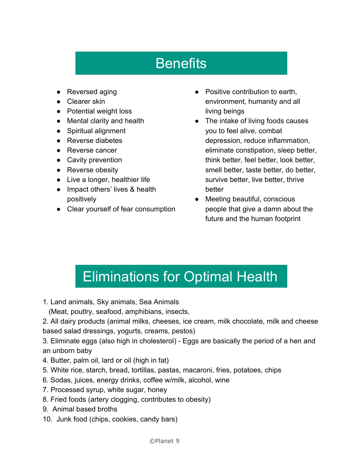# **Benefits**

- Reversed aging
- Clearer skin
- Potential weight loss
- Mental clarity and health
- Spiritual alignment
- Reverse diabetes
- Reverse cancer
- Cavity prevention
- Reverse obesity
- Live a longer, healthier life
- Impact others' lives & health positively
- Clear yourself of fear consumption
- Positive contribution to earth, environment, humanity and all living beings
- The intake of living foods causes you to feel alive, combat depression, reduce inflammation, eliminate constipation, sleep better, think better, feel better, look better, smell better, taste better, do better, survive better, live better, thrive better
- Meeting beautiful, conscious people that give a damn about the future and the human footprint

# Eliminations for Optimal Health

- 1. Land animals, Sky animals, Sea Animals
- (Meat, poutlry, seafood, amphibians, insects,
- 2. All dairy products (animal milks, cheeses, ice cream, milk chocolate, milk and cheese based salad dressings, yogurts, creams, pestos)
- 3. Eliminate eggs (also high in cholesterol) Eggs are basically the period of a hen and an unborn baby
- 4. Butter, palm oil, lard or oil (high in fat)
- 5. White rice, starch, bread, tortillas, pastas, macaroni, fries, potatoes, chips
- 6. Sodas, juices, energy drinks, coffee w/milk, alcohol, wine
- 7. Processed syrup, white sugar, honey
- 8. Fried foods (artery clogging, contributes to obesity)
- 9. Animal based broths
- 10. Junk food (chips, cookies, candy bars)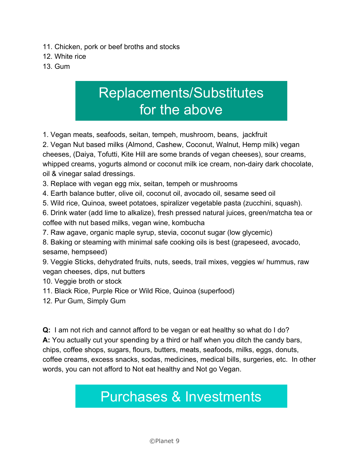- 11. Chicken, pork or beef broths and stocks
- 12. White rice
- 13. Gum

## Replacements/Substitutes for the above

1. Vegan meats, seafoods, seitan, tempeh, mushroom, beans, jackfruit

2. Vegan Nut based milks (Almond, Cashew, Coconut, Walnut, Hemp milk) vegan cheeses, (Daiya, Tofutti, Kite Hill are some brands of vegan cheeses), sour creams, whipped creams, yogurts almond or coconut milk ice cream, non-dairy dark chocolate, oil & vinegar salad dressings.

3. Replace with vegan egg mix, seitan, tempeh or mushrooms

- 4. Earth balance butter, olive oil, coconut oil, avocado oil, sesame seed oil
- 5. Wild rice, Quinoa, sweet potatoes, spiralizer vegetable pasta (zucchini, squash).

6. Drink water (add lime to alkalize), fresh pressed natural juices, green/matcha tea or coffee with nut based milks, vegan wine, kombucha

- 7. Raw agave, organic maple syrup, stevia, coconut sugar (low glycemic)
- 8. Baking or steaming with minimal safe cooking oils is best (grapeseed, avocado, sesame, hempseed)

9. Veggie Sticks, dehydrated fruits, nuts, seeds, trail mixes, veggies w/ hummus, raw vegan cheeses, dips, nut butters

- 10. Veggie broth or stock
- 11. Black Rice, Purple Rice or Wild Rice, Quinoa (superfood)
- 12. Pur Gum, Simply Gum

**Q:**  I am not rich and cannot afford to be vegan or eat healthy so what do I do? **A:** You actually cut your spending by a third or half when you ditch the candy bars, chips, coffee shops, sugars, flours, butters, meats, seafoods, milks, eggs, donuts, coffee creams, excess snacks, sodas, medicines, medical bills, surgeries, etc. In other words, you can not afford to Not eat healthy and Not go Vegan.

## Purchases & Investments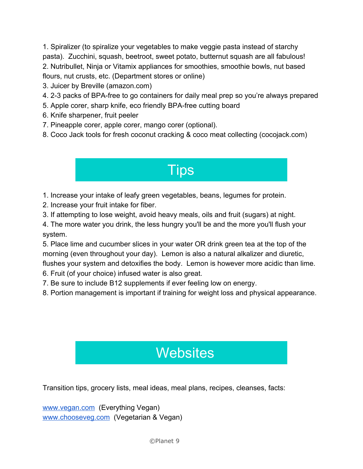1. Spiralizer (to spiralize your vegetables to make veggie pasta instead of starchy pasta). Zucchini, squash, beetroot, sweet potato, butternut squash are all fabulous! 2. Nutribullet, Ninja or Vitamix appliances for smoothies, smoothie bowls, nut based flours, nut crusts, etc. (Department stores or online)

- 3. Juicer by Breville (amazon.com)
- 4. 2-3 packs of BPA-free to go containers for daily meal prep so you're always prepared
- 5. Apple corer, sharp knife, eco friendly BPA-free cutting board
- 6. Knife sharpener, fruit peeler
- 7. Pineapple corer, apple corer, mango corer (optional).
- 8. Coco Jack tools for fresh coconut cracking & coco meat collecting (cocojack.com)

### **Tips**

- 1. Increase your intake of leafy green vegetables, beans, legumes for protein.
- 2. Increase your fruit intake for fiber.
- 3. If attempting to lose weight, avoid heavy meals, oils and fruit (sugars) at night.

4. The more water you drink, the less hungry you'll be and the more you'll flush your system.

5. Place lime and cucumber slices in your water OR drink green tea at the top of the morning (even throughout your day). Lemon is also a natural alkalizer and diuretic, flushes your system and detoxifies the body. Lemon is however more acidic than lime. 6. Fruit (of your choice) infused water is also great.

- 7. Be sure to include B12 supplements if ever feeling low on energy.
- 8. Portion management is important if training for weight loss and physical appearance.

## **Websites**

Transition tips, grocery lists, meal ideas, meal plans, recipes, cleanses, facts:

[www.vegan.com](http://www.vegan.com/) (Everything Vegan) [www.chooseveg.com](http://www.chooseveg.com/) (Vegetarian & Vegan)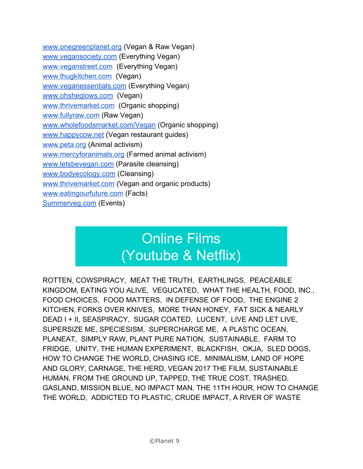[www.onegreenplanet.org](http://www.onegreenplanet.org/) (Vegan & Raw Vegan) [www.vegansociety.com](http://www.vegansociety.com/) (Everything Vegan) [www.veganstreet.com](http://www.veganstreet.com/) (Everything Vegan) [www.thugkitchen.com](http://www.thugkitchen.com/) (Vegan) [www.veganessentials.com](http://www.veganessentials.com/) (Everything Vegan) [www.ohsheglows.com](http://www.ohsheglows.com/) (Vegan) [www.thrivemarket.com](http://www.thrivemarket.com/) (Organic shopping) [www.fullyraw.com](http://www.fullyraw.com/) (Raw Vegan) [www.wholefoodsmarket.com/Vegan](http://www.wholefoodsmarket.com/Vegan) (Organic shopping[\)](http://www.wholefoodsmarket.com/Vegan) [www.happycow.net](http://www.happycow.net/) (Vegan restaurant guides) [www.peta.org](http://www.peta.org/) (Animal activism) [www.mercyforanimals.org](http://www.mercyforanimals.org/) (Farmed animal activism) [www.letsbevegan.com](http://www.letsbevegan.com/) (Parasite cleansing) [www.bodyecology.com](http://www.bodyecology.com/) (Cleansing) [www.thrivemarket.com](http://www.thrivemarket.com/) (Vegan and organic products) [www.eatingourfuture.com](http://www.eatingourfutre.com/) (Facts) [Summerveg.com](http://summerveg.com./) (Events)

## Online Films (Youtube & Netflix)

ROTTEN, COWSPIRACY, MEAT THE TRUTH, EARTHLINGS, PEACEABLE KINGDOM, EATING YOU ALIVE, VEGUCATED, WHAT THE HEALTH, FOOD, INC., FOOD CHOICES, FOOD MATTERS, IN DEFENSE OF FOOD, THE ENGINE 2 KITCHEN, FORKS OVER KNIVES, MORE THAN HONEY, FAT SICK & NEARLY DEAD I + II, SEASPIRACY, SUGAR COATED, LUCENT, LIVE AND LET LIVE, SUPERSIZE ME, SPECIESISM, SUPERCHARGE ME, A PLASTIC OCEAN, PLANEAT, SIMPLY RAW, PLANT PURE NATION, SUSTAINABLE, FARM TO FRIDGE, UNITY, THE HUMAN EXPERIMENT, BLACKFISH, OKJA, SLED DOGS, HOW TO CHANGE THE WORLD, CHASING ICE, MINIMALISM, LAND OF HOPE AND GLORY, CARNAGE, THE HERD, VEGAN 2017 THE FILM, SUSTAINABLE HUMAN, FROM THE GROUND UP, TAPPED, THE TRUE COST, TRASHED, GASLAND, MISSION BLUE, NO IMPACT MAN, THE 11TH HOUR, HOW TO CHANGE THE WORLD, ADDICTED TO PLASTIC, CRUDE IMPACT, A RIVER OF WASTE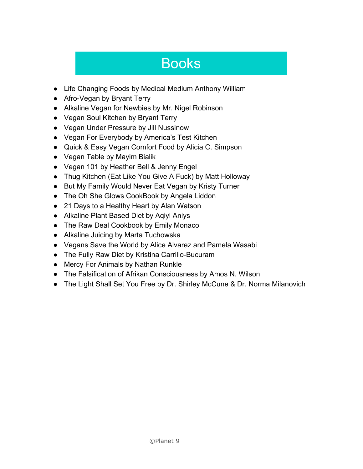## Books

- Life Changing Foods by Medical Medium Anthony William
- Afro-Vegan by Bryant Terry
- Alkaline Vegan for Newbies by Mr. Nigel Robinson
- Vegan Soul Kitchen by Bryant Terry
- Vegan Under Pressure by Jill Nussinow
- Vegan For Everybody by America's Test Kitchen
- Quick & Easy Vegan Comfort Food by Alicia C. Simpson
- Vegan Table by Mayim Bialik
- Vegan 101 by Heather Bell & Jenny Engel
- Thug Kitchen (Eat Like You Give A Fuck) by Matt Holloway
- But My Family Would Never Eat Vegan by Kristy Turner
- The Oh She Glows CookBook by Angela Liddon
- 21 Days to a Healthy Heart by Alan Watson
- Alkaline Plant Based Diet by Aqiyl Aniys
- The Raw Deal Cookbook by Emily Monaco
- Alkaline Juicing by Marta Tuchowska
- Vegans Save the World by Alice Alvarez and Pamela Wasabi
- The Fully Raw Diet by Kristina Carrillo-Bucuram
- Mercy For Animals by Nathan Runkle
- The Falsification of Afrikan Consciousness by Amos N. Wilson
- The Light Shall Set You Free by Dr. Shirley McCune & Dr. Norma Milanovich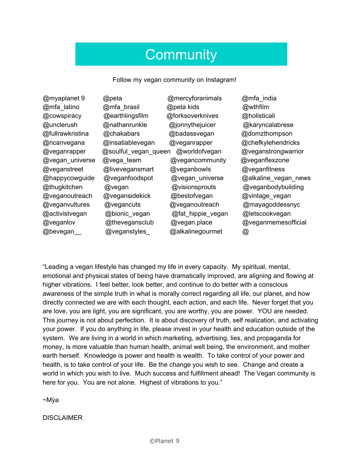## **Community**

Follow my vegan community on Instagram!

| @myaplanet 9     | @peta                | @mercyforanimals  | @mfa_india           |
|------------------|----------------------|-------------------|----------------------|
| @mfa_latino      | @mfa_brasil          | @peta kids        | @wthfilm             |
| @cowspiracy      | @earthlingsfilm      | @forksoverknives  | @holisticali         |
| @unclerush       | @nathanrunkle        | @jonnythejuicer   | @karyncalabrese      |
| @fullrawkristina | @chakabars           | @badassvegan      | @domzthompson        |
| @ricanvegana     | @insatiablevegan     | @veganrapper      | @chefkylehendricks   |
| @veganrapper     | @soulful_vegan_queen | @worldofvegan     | @veganstrongwarrior  |
| @vegan_universe  | @vega_team           | @vegancommunity   | @veganflexzone       |
| @veganstreet     | @livevegansmart      | @veganbowls       | @veganfitness        |
| @happycowguide   | @veganfoodspot       | @vegan_universe   | @alkaline_vegan_news |
| @thugkitchen     | @vegan               | @visionsprouts    | @veganbodybuilding   |
| @veganoutreach   | @vegansidekick       | @bestofvegan      | @vintage_vegan       |
| @veganvultures   | @vegancuts           | @veganoutreach    | @mayagoddessnyc      |
| @activistvegan   | @bionic_vegan        | @fat_hippie_vegan | @letscookvegan       |
| @veganlov        | @thevegansclub       | @vegan.place      | @veganmemesofficial  |
| @bevegan         | @veganstyles         | @alkalinegourmet  | @                    |

"Leading a vegan lifestyle has changed my life in every capacity. My spiritual, mental, emotional and physical states of being have dramatically improved, are aligning and flowing at higher vibrations. I feel better, look better, and continue to do better with a conscious awareness of the simple truth in what is morally correct regarding all life, our planet, and how directly connected we are with each thought, each action, and each life. Never forget that you are love, you are light, you are significant, you are worthy, you are power. YOU are needed. This journey is not about perfection. It is about discovery of truth, self realization, and activating your power. If you do anything in life, please invest in your health and education outside of the system. We are living in a world in which marketing, advertising, lies, and propaganda for money, is more valuable than human health, animal well being, the environment, and mother earth herself. Knowledge is power and health is wealth. To take control of your power and health, is to take control of your life. Be the change you wish to see. Change and create a world in which you wish to live. Much success and fulfillment ahead! The Vegan community is here for you. You are not alone. Highest of vibrations to you."

~Mýa

DISCLAIMER